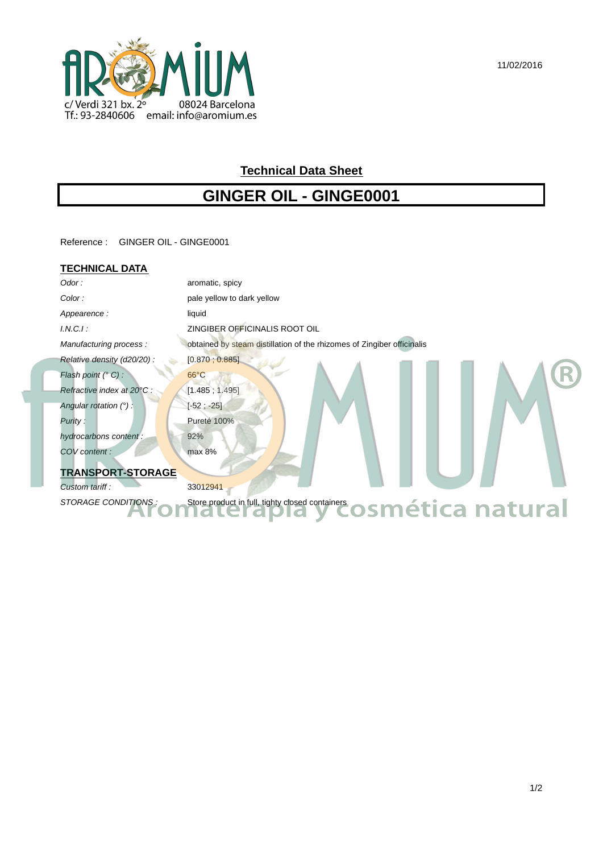

# **Technical Data Sheet**

# **GINGER OIL - GINGE0001**

Reference : GINGER OIL - GINGE0001

## **TECHNICAL DATA**

f

| Odor:                      | aromatic, spicy                                                         |
|----------------------------|-------------------------------------------------------------------------|
| Color:                     | pale yellow to dark yellow                                              |
| Appearence:                | liquid                                                                  |
| $I.N.C.I$ :                | ZINGIBER OFFICINALIS ROOT OIL                                           |
| Manufacturing process:     | obtained by steam distillation of the rhizomes of Zingiber officinalis  |
| Relative density (d20/20): | [0.870, 0.885]                                                          |
| Flash point (° C) :        | $66^{\circ}$ C                                                          |
| Refractive index at 20°C : | [1.485; 1.495]                                                          |
| Angular rotation $(°)$ :   | $[-52; -25]$                                                            |
| Purity:                    | Pureté 100%                                                             |
| hydrocarbons content:      | 92%                                                                     |
| COV content:               | max 8%                                                                  |
| <b>TRANSPORT-STORAGE</b>   |                                                                         |
| Custom tariff:             | 33012941                                                                |
| STORAGE CONDITIONS:        | Store product in full, tighty closed containers <b>OSMética natural</b> |